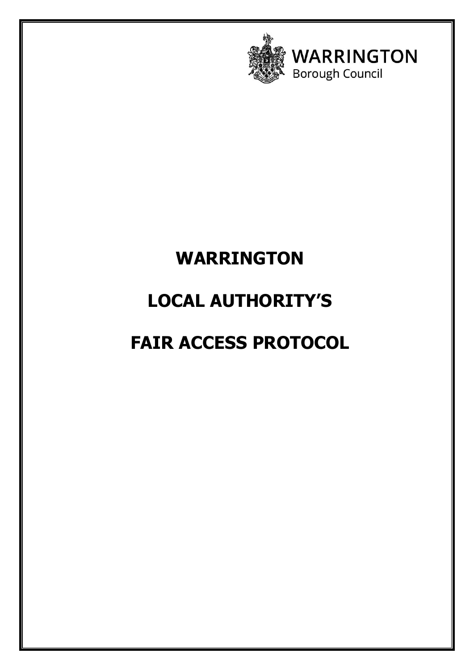

**WARRINGTON Borough Council** 

### **WARRINGTON**

# **LOCAL AUTHORITY'S**

# **FAIR ACCESS PROTOCOL**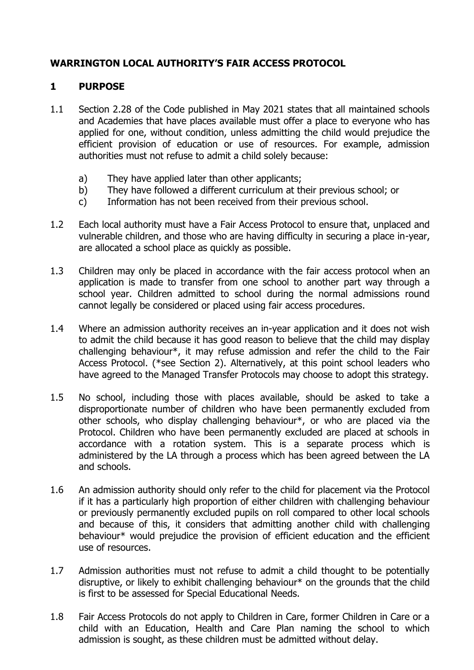#### **WARRINGTON LOCAL AUTHORITY'S FAIR ACCESS PROTOCOL**

#### **1 PURPOSE**

- 1.1 Section 2.28 of the Code published in May 2021 states that all maintained schools and Academies that have places available must offer a place to everyone who has applied for one, without condition, unless admitting the child would prejudice the efficient provision of education or use of resources. For example, admission authorities must not refuse to admit a child solely because:
	- a) They have applied later than other applicants;
	- b) They have followed a different curriculum at their previous school; or
	- c) Information has not been received from their previous school.
- 1.2 Each local authority must have a Fair Access Protocol to ensure that, unplaced and vulnerable children, and those who are having difficulty in securing a place in-year, are allocated a school place as quickly as possible.
- 1.3 Children may only be placed in accordance with the fair access protocol when an application is made to transfer from one school to another part way through a school year. Children admitted to school during the normal admissions round cannot legally be considered or placed using fair access procedures.
- 1.4 Where an admission authority receives an in-year application and it does not wish to admit the child because it has good reason to believe that the child may display challenging behaviour\*, it may refuse admission and refer the child to the Fair Access Protocol. (\*see Section 2). Alternatively, at this point school leaders who have agreed to the Managed Transfer Protocols may choose to adopt this strategy.
- 1.5 No school, including those with places available, should be asked to take a disproportionate number of children who have been permanently excluded from other schools, who display challenging behaviour\*, or who are placed via the Protocol. Children who have been permanently excluded are placed at schools in accordance with a rotation system. This is a separate process which is administered by the LA through a process which has been agreed between the LA and schools.
- 1.6 An admission authority should only refer to the child for placement via the Protocol if it has a particularly high proportion of either children with challenging behaviour or previously permanently excluded pupils on roll compared to other local schools and because of this, it considers that admitting another child with challenging behaviour\* would prejudice the provision of efficient education and the efficient use of resources.
- 1.7 Admission authorities must not refuse to admit a child thought to be potentially disruptive, or likely to exhibit challenging behaviour\* on the grounds that the child is first to be assessed for Special Educational Needs.
- 1.8 Fair Access Protocols do not apply to Children in Care, former Children in Care or a child with an Education, Health and Care Plan naming the school to which admission is sought, as these children must be admitted without delay.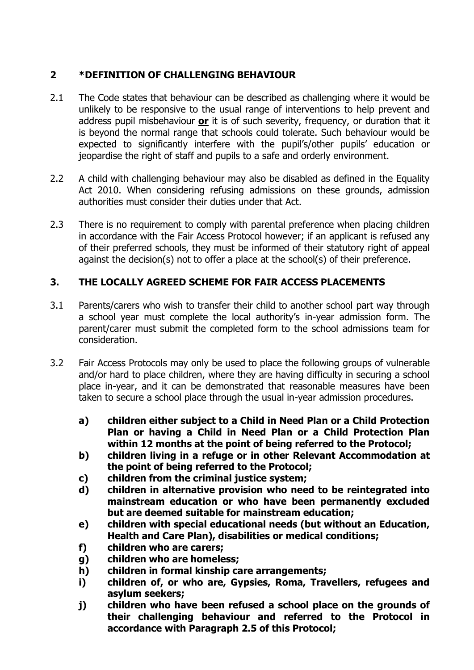### **2 \*DEFINITION OF CHALLENGING BEHAVIOUR**

- 2.1 The Code states that behaviour can be described as challenging where it would be unlikely to be responsive to the usual range of interventions to help prevent and address pupil misbehaviour **or** it is of such severity, frequency, or duration that it is beyond the normal range that schools could tolerate. Such behaviour would be expected to significantly interfere with the pupil's/other pupils' education or jeopardise the right of staff and pupils to a safe and orderly environment.
- 2.2 A child with challenging behaviour may also be disabled as defined in the Equality Act 2010. When considering refusing admissions on these grounds, admission authorities must consider their duties under that Act.
- 2.3 There is no requirement to comply with parental preference when placing children in accordance with the Fair Access Protocol however; if an applicant is refused any of their preferred schools, they must be informed of their statutory right of appeal against the decision(s) not to offer a place at the school(s) of their preference.

#### **3. THE LOCALLY AGREED SCHEME FOR FAIR ACCESS PLACEMENTS**

- 3.1 Parents/carers who wish to transfer their child to another school part way through a school year must complete the local authority's in-year admission form. The parent/carer must submit the completed form to the school admissions team for consideration.
- 3.2 Fair Access Protocols may only be used to place the following groups of vulnerable and/or hard to place children, where they are having difficulty in securing a school place in-year, and it can be demonstrated that reasonable measures have been taken to secure a school place through the usual in-year admission procedures.
	- **a) children either subject to a Child in Need Plan or a Child Protection Plan or having a Child in Need Plan or a Child Protection Plan within 12 months at the point of being referred to the Protocol;**
	- **b) children living in a refuge or in other Relevant Accommodation at the point of being referred to the Protocol;**
	- **c) children from the criminal justice system;**
	- **d) children in alternative provision who need to be reintegrated into mainstream education or who have been permanently excluded but are deemed suitable for mainstream education;**
	- **e) children with special educational needs (but without an Education, Health and Care Plan), disabilities or medical conditions;**
	- **f) children who are carers;**
	- **g) children who are homeless;**
	- **h) children in formal kinship care arrangements;**
	- **i) children of, or who are, Gypsies, Roma, Travellers, refugees and asylum seekers;**
	- **j) children who have been refused a school place on the grounds of their challenging behaviour and referred to the Protocol in accordance with Paragraph 2.5 of this Protocol;**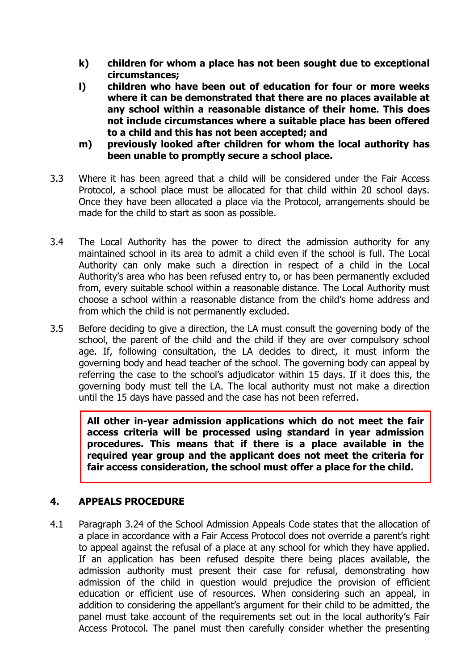- **k) children for whom a place has not been sought due to exceptional circumstances;**
- **l) children who have been out of education for four or more weeks where it can be demonstrated that there are no places available at any school within a reasonable distance of their home. This does not include circumstances where a suitable place has been offered to a child and this has not been accepted; and**
- **m) previously looked after children for whom the local authority has been unable to promptly secure a school place.**
- 3.3 Where it has been agreed that a child will be considered under the Fair Access Protocol, a school place must be allocated for that child within 20 school days. Once they have been allocated a place via the Protocol, arrangements should be made for the child to start as soon as possible.
- 3.4 The Local Authority has the power to direct the admission authority for any maintained school in its area to admit a child even if the school is full. The Local Authority can only make such a direction in respect of a child in the Local Authority's area who has been refused entry to, or has been permanently excluded from, every suitable school within a reasonable distance. The Local Authority must choose a school within a reasonable distance from the child's home address and from which the child is not permanently excluded.
- 3.5 Before deciding to give a direction, the LA must consult the governing body of the school, the parent of the child and the child if they are over compulsory school age. If, following consultation, the LA decides to direct, it must inform the governing body and head teacher of the school. The governing body can appeal by referring the case to the school's adjudicator within 15 days. If it does this, the governing body must tell the LA. The local authority must not make a direction until the 15 days have passed and the case has not been referred.

**All other in-year admission applications which do not meet the fair access criteria will be processed using standard in year admission procedures. This means that if there is a place available in the required year group and the applicant does not meet the criteria for fair access consideration, the school must offer a place for the child.**

#### **4. APPEALS PROCEDURE**

4.1 Paragraph 3.24 of the School Admission Appeals Code states that the allocation of a place in accordance with a Fair Access Protocol does not override a parent's right to appeal against the refusal of a place at any school for which they have applied. If an application has been refused despite there being places available, the admission authority must present their case for refusal, demonstrating how admission of the child in question would prejudice the provision of efficient education or efficient use of resources. When considering such an appeal, in addition to considering the appellant's argument for their child to be admitted, the panel must take account of the requirements set out in the local authority's Fair Access Protocol. The panel must then carefully consider whether the presenting